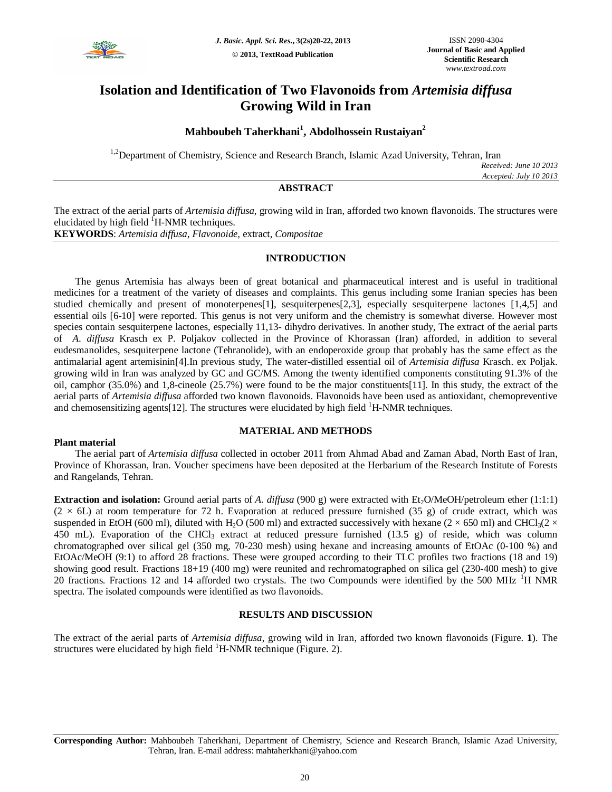

# **Isolation and Identification of Two Flavonoids from** *Artemisia diffusa* **Growing Wild in Iran**

## **Mahboubeh Taherkhani<sup>1</sup> , Abdolhossein Rustaiyan<sup>2</sup>**

<sup>1,2</sup>Department of Chemistry, Science and Research Branch, Islamic Azad University, Tehran, Iran

*Received: June 10 2013 Accepted: July 10 2013*

### **ABSTRACT**

The extract of the aerial parts of *Artemisia diffusa*, growing wild in Iran, afforded two known flavonoids. The structures were elucidated by high field  $^1$ H-NMR techniques. **KEYWORDS**: *Artemisia diffusa*, *Flavonoide,* extract, *Compositae*

#### **INTRODUCTION**

The genus Artemisia has always been of great botanical and pharmaceutical interest and is useful in traditional medicines for a treatment of the variety of diseases and complaints. This genus including some Iranian species has been studied chemically and present of monoterpenes[1], sesquiterpenes[2,3], especially sesquiterpene lactones [1,4,5] and essential oils [6-10] were reported. This genus is not very uniform and the chemistry is somewhat diverse. However most species contain sesquiterpene lactones, especially 11,13- dihydro derivatives. In another study, The extract of the aerial parts of *A. diffusa* Krasch ex P. Poljakov collected in the Province of Khorassan (Iran) afforded, in addition to several eudesmanolides, sesquiterpene lactone (Tehranolide), with an endoperoxide group that probably has the same effect as the antimalarial agent artemisinin[4].In previous study, The water-distilled essential oil of *Artemisia diffusa* Krasch. ex Poljak. growing wild in Iran was analyzed by GC and GC/MS. Among the twenty identified components constituting 91.3% of the oil, camphor (35.0%) and 1,8-cineole (25.7%) were found to be the major constituents[11]. In this study, the extract of the aerial parts of *Artemisia diffusa* afforded two known flavonoids. Flavonoids have been used as antioxidant, chemopreventive and chemosensitizing agents $[12]$ . The structures were elucidated by high field  ${}^{1}$ H-NMR techniques.

#### **MATERIAL AND METHODS**

#### **Plant material**

The aerial part of *Artemisia diffusa* collected in october 2011 from Ahmad Abad and Zaman Abad, North East of Iran, Province of Khorassan, Iran. Voucher specimens have been deposited at the Herbarium of the Research Institute of Forests and Rangelands, Tehran.

**Extraction and isolation:** Ground aerial parts of *A. diffusa* (900 g) were extracted with  $Et_2O/MeOH/petroleum$  ether (1:1:1)  $(2 \times 6L)$  at room temperature for 72 h. Evaporation at reduced pressure furnished (35 g) of crude extract, which was suspended in EtOH (600 ml), diluted with H<sub>2</sub>O (500 ml) and extracted successively with hexane (2  $\times$  650 ml) and CHCl<sub>3</sub>(2  $\times$ 450 mL). Evaporation of the CHCl<sub>3</sub> extract at reduced pressure furnished (13.5 g) of reside, which was column chromatographed over silical gel (350 mg, 70-230 mesh) using hexane and increasing amounts of EtOAc (0-100 %) and EtOAc/MeOH (9:1) to afford 28 fractions. These were grouped according to their TLC profiles two fractions (18 and 19) showing good result. Fractions 18+19 (400 mg) were reunited and rechromatographed on silica gel (230-400 mesh) to give 20 fractions. Fractions 12 and 14 afforded two crystals. The two Compounds were identified by the 500 MHz  $^1$ H NMR spectra. The isolated compounds were identified as two flavonoids.

#### **RESULTS AND DISCUSSION**

The extract of the aerial parts of *Artemisia diffusa*, growing wild in Iran, afforded two known flavonoids (Figure. **1**). The structures were elucidated by high field <sup>1</sup>H-NMR technique (Figure. 2).

**Corresponding Author:** Mahboubeh Taherkhani, Department of Chemistry, Science and Research Branch, Islamic Azad University, Tehran, Iran. E-mail address: mahtaherkhani@yahoo.com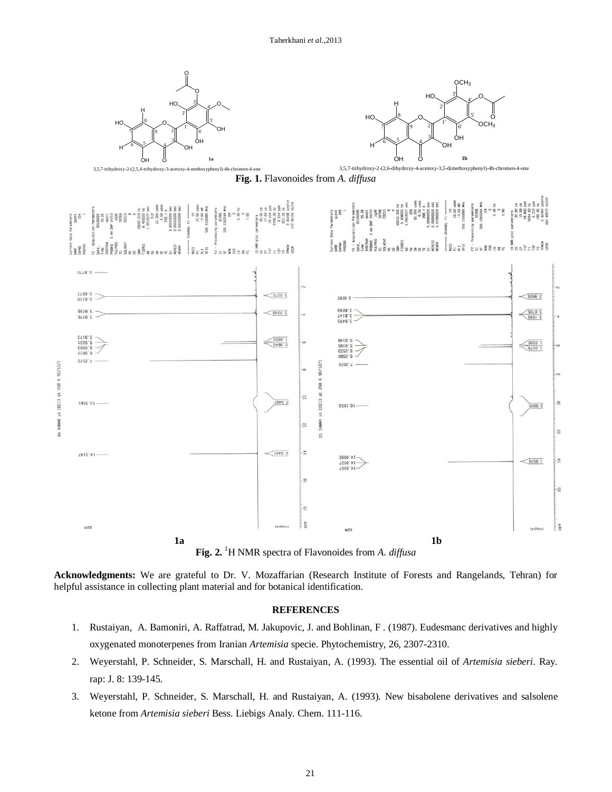

**Acknowledgments:** We are grateful to Dr. V. Mozaffarian (Research Institute of Forests and Rangelands, Tehran) for helpful assistance in collecting plant material and for botanical identification.

#### **REFERENCES**

- 1. Rustaiyan, A. Bamoniri, A. Raffatrad, M. Jakupovic, J. and Bohlinan, F . (1987). Eudesmanc derivatives and highly oxygenated monoterpenes from Iranian *Artemisia* specie. Phytochemistry, 26, 2307-2310.
- 2. Weyerstahl, P. Schneider, S. Marschall, H. and Rustaiyan, A. (1993). The essential oil of *Artemisia sieberi*. Ray. rap: J. 8: 139-145.
- 3. Weyerstahl, P. Schneider, S. Marschall, H. and Rustaiyan, A. (1993). New bisabolene derivatives and salsolene ketone from *Artemisia sieberi* Bess. Liebigs Analy. Chem. 111-116.